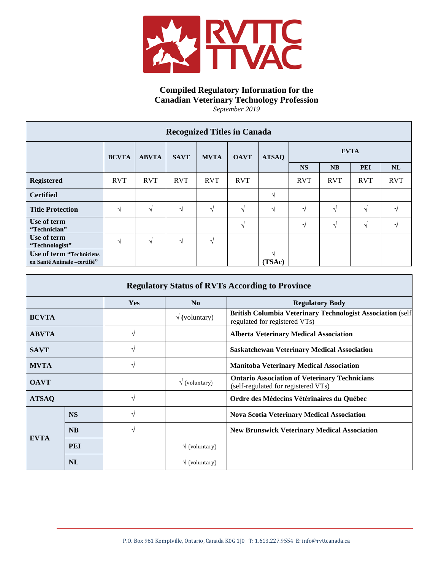

## **Compiled Regulatory Information for the Canadian Veterinary Technology Profession** *September 2019*

| <b>Recognized Titles in Canada</b>                      |              |              |             |             |             |               |             |            |            |            |
|---------------------------------------------------------|--------------|--------------|-------------|-------------|-------------|---------------|-------------|------------|------------|------------|
|                                                         | <b>BCVTA</b> | <b>ABVTA</b> | <b>SAVT</b> | <b>MVTA</b> | <b>OAVT</b> | <b>ATSAQ</b>  | <b>EVTA</b> |            |            |            |
|                                                         |              |              |             |             |             |               | <b>NS</b>   | <b>NB</b>  | <b>PEI</b> | NL         |
| <b>Registered</b>                                       | <b>RVT</b>   | <b>RVT</b>   | <b>RVT</b>  | <b>RVT</b>  | <b>RVT</b>  |               | <b>RVT</b>  | <b>RVT</b> | <b>RVT</b> | <b>RVT</b> |
| <b>Certified</b>                                        |              |              |             |             |             | $\mathcal{N}$ |             |            |            |            |
| <b>Title Protection</b>                                 | V            | $\sqrt{ }$   | V           | V           | N           | N             | V           | V          | $\gamma$   |            |
| Use of term<br>"Technician"                             |              |              |             |             | N           |               | V           | $\sqrt{ }$ | $\sqrt{ }$ | $\Delta$   |
| Use of term<br>"Technologist"                           | $\sqrt{ }$   | V            | $\sqrt{ }$  | V           |             |               |             |            |            |            |
| Use of term "Techniciens<br>en Santé Animale -certifié" |              |              |             |             |             | (TSAc)        |             |            |            |            |

| <b>Regulatory Status of RVTs According to Province</b> |            |               |                              |                                                                                                     |  |  |
|--------------------------------------------------------|------------|---------------|------------------------------|-----------------------------------------------------------------------------------------------------|--|--|
|                                                        |            | Yes           | No<br><b>Regulatory Body</b> |                                                                                                     |  |  |
| <b>BCVTA</b>                                           |            |               | $\sqrt{(volumtary)}$         | <b>British Columbia Veterinary Technologist Association (self-</b><br>regulated for registered VTs) |  |  |
| <b>ABVTA</b>                                           |            | $\sqrt{ }$    |                              | <b>Alberta Veterinary Medical Association</b>                                                       |  |  |
| <b>SAVT</b>                                            |            | $\mathcal{N}$ |                              | <b>Saskatchewan Veterinary Medical Association</b>                                                  |  |  |
| <b>MVTA</b>                                            |            | $\sqrt{ }$    |                              | <b>Manitoba Veterinary Medical Association</b>                                                      |  |  |
| <b>OAVT</b>                                            |            |               | $\sqrt{\text{(volumtary)}}$  | <b>Ontario Association of Veterinary Technicians</b><br>(self-regulated for registered VTs)         |  |  |
| <b>ATSAQ</b>                                           |            | $\sqrt{ }$    |                              | Ordre des Médecins Vétérinaires du Québec                                                           |  |  |
| <b>EVTA</b>                                            | <b>NS</b>  | $\sqrt{ }$    |                              | <b>Nova Scotia Veterinary Medical Association</b>                                                   |  |  |
|                                                        | <b>NB</b>  | $\sqrt{ }$    |                              | <b>New Brunswick Veterinary Medical Association</b>                                                 |  |  |
|                                                        | <b>PEI</b> |               | $\sqrt{\text{(volumtary)}}$  |                                                                                                     |  |  |
|                                                        | <b>NL</b>  |               | $\sqrt{\text{(volumtary)}}$  |                                                                                                     |  |  |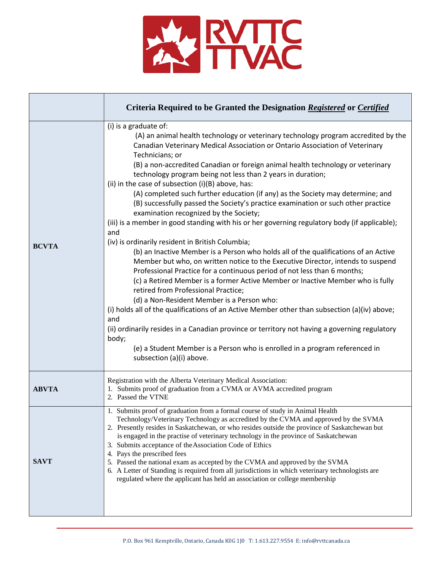

|              | Criteria Required to be Granted the Designation Registered or Certified                                                                                                                                                                                                                                                                                                                                                                                                                                                                                                                                                                                                                                                                                                                                                                                                                                                                                                                                                                                                                                                                                                                                                                                                                                                                                                                                                                                                                                                                                      |
|--------------|--------------------------------------------------------------------------------------------------------------------------------------------------------------------------------------------------------------------------------------------------------------------------------------------------------------------------------------------------------------------------------------------------------------------------------------------------------------------------------------------------------------------------------------------------------------------------------------------------------------------------------------------------------------------------------------------------------------------------------------------------------------------------------------------------------------------------------------------------------------------------------------------------------------------------------------------------------------------------------------------------------------------------------------------------------------------------------------------------------------------------------------------------------------------------------------------------------------------------------------------------------------------------------------------------------------------------------------------------------------------------------------------------------------------------------------------------------------------------------------------------------------------------------------------------------------|
| <b>BCVTA</b> | (i) is a graduate of:<br>(A) an animal health technology or veterinary technology program accredited by the<br>Canadian Veterinary Medical Association or Ontario Association of Veterinary<br>Technicians; or<br>(B) a non-accredited Canadian or foreign animal health technology or veterinary<br>technology program being not less than 2 years in duration;<br>(ii) in the case of subsection (i)(B) above, has:<br>(A) completed such further education (if any) as the Society may determine; and<br>(B) successfully passed the Society's practice examination or such other practice<br>examination recognized by the Society;<br>(iii) is a member in good standing with his or her governing regulatory body (if applicable);<br>and<br>(iv) is ordinarily resident in British Columbia;<br>(b) an Inactive Member is a Person who holds all of the qualifications of an Active<br>Member but who, on written notice to the Executive Director, intends to suspend<br>Professional Practice for a continuous period of not less than 6 months;<br>(c) a Retired Member is a former Active Member or Inactive Member who is fully<br>retired from Professional Practice;<br>(d) a Non-Resident Member is a Person who:<br>(i) holds all of the qualifications of an Active Member other than subsection (a)(iv) above;<br>and<br>(ii) ordinarily resides in a Canadian province or territory not having a governing regulatory<br>body;<br>(e) a Student Member is a Person who is enrolled in a program referenced in<br>subsection (a)(i) above. |
| <b>ABVTA</b> | Registration with the Alberta Veterinary Medical Association:<br>1. Submits proof of graduation from a CVMA or AVMA accredited program<br>2. Passed the VTNE                                                                                                                                                                                                                                                                                                                                                                                                                                                                                                                                                                                                                                                                                                                                                                                                                                                                                                                                                                                                                                                                                                                                                                                                                                                                                                                                                                                                 |
| <b>SAVT</b>  | 1. Submits proof of graduation from a formal course of study in Animal Health<br>Technology/Veterinary Technology as accredited by the CVMA and approved by the SVMA<br>2. Presently resides in Saskatchewan, or who resides outside the province of Saskatchewan but<br>is engaged in the practise of veterinary technology in the province of Saskatchewan<br>3. Submits acceptance of the Association Code of Ethics<br>4. Pays the prescribed fees<br>5. Passed the national exam as accepted by the CVMA and approved by the SVMA<br>6. A Letter of Standing is required from all jurisdictions in which veterinary technologists are<br>regulated where the applicant has held an association or college membership                                                                                                                                                                                                                                                                                                                                                                                                                                                                                                                                                                                                                                                                                                                                                                                                                                    |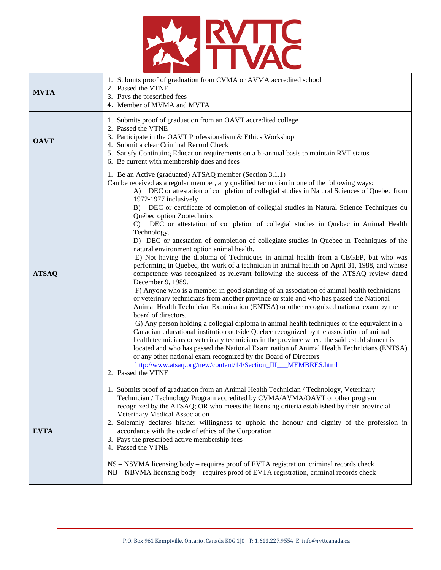

| <b>MVTA</b>  | 1. Submits proof of graduation from CVMA or AVMA accredited school<br>2. Passed the VTNE<br>3. Pays the prescribed fees<br>4. Member of MVMA and MVTA                                                                                                                                                                                                                                                                                                                                                                                                                                                                                                                                                                                                                                                                                                                                                                                                                                                                                                                                                                                                                                                                                                                                                                                                                                                                                                                                                                                                                                                                                                                                                                                                                                                                   |
|--------------|-------------------------------------------------------------------------------------------------------------------------------------------------------------------------------------------------------------------------------------------------------------------------------------------------------------------------------------------------------------------------------------------------------------------------------------------------------------------------------------------------------------------------------------------------------------------------------------------------------------------------------------------------------------------------------------------------------------------------------------------------------------------------------------------------------------------------------------------------------------------------------------------------------------------------------------------------------------------------------------------------------------------------------------------------------------------------------------------------------------------------------------------------------------------------------------------------------------------------------------------------------------------------------------------------------------------------------------------------------------------------------------------------------------------------------------------------------------------------------------------------------------------------------------------------------------------------------------------------------------------------------------------------------------------------------------------------------------------------------------------------------------------------------------------------------------------------|
| <b>OAVT</b>  | 1. Submits proof of graduation from an OAVT accredited college<br>2. Passed the VTNE<br>3. Participate in the OAVT Professionalism & Ethics Workshop<br>4. Submit a clear Criminal Record Check<br>5. Satisfy Continuing Education requirements on a bi-annual basis to maintain RVT status<br>6. Be current with membership dues and fees                                                                                                                                                                                                                                                                                                                                                                                                                                                                                                                                                                                                                                                                                                                                                                                                                                                                                                                                                                                                                                                                                                                                                                                                                                                                                                                                                                                                                                                                              |
| <b>ATSAQ</b> | 1. Be an Active (graduated) ATSAQ member (Section 3.1.1)<br>Can be received as a regular member, any qualified technician in one of the following ways:<br>A) DEC or attestation of completion of collegial studies in Natural Sciences of Quebec from<br>1972-1977 inclusively<br>B) DEC or certificate of completion of collegial studies in Natural Science Techniques du<br>Québec option Zootechnics<br>C) DEC or attestation of completion of collegial studies in Quebec in Animal Health<br>Technology.<br>D) DEC or attestation of completion of collegiate studies in Quebec in Techniques of the<br>natural environment option animal health.<br>E) Not having the diploma of Techniques in animal health from a CEGEP, but who was<br>performing in Quebec, the work of a technician in animal health on April 31, 1988, and whose<br>competence was recognized as relevant following the success of the ATSAQ review dated<br>December 9, 1989.<br>F) Anyone who is a member in good standing of an association of animal health technicians<br>or veterinary technicians from another province or state and who has passed the National<br>Animal Health Technician Examination (ENTSA) or other recognized national exam by the<br>board of directors.<br>G) Any person holding a collegial diploma in animal health techniques or the equivalent in a<br>Canadian educational institution outside Quebec recognized by the association of animal<br>health technicians or veterinary technicians in the province where the said establishment is<br>located and who has passed the National Examination of Animal Health Technicians (ENTSA)<br>or any other national exam recognized by the Board of Directors<br>http://www.atsaq.org/new/content/14/Section_III___MEMBRES.html<br>2. Passed the VTNE |
| <b>EVTA</b>  | 1. Submits proof of graduation from an Animal Health Technician / Technology, Veterinary<br>Technician / Technology Program accredited by CVMA/AVMA/OAVT or other program<br>recognized by the ATSAQ; OR who meets the licensing criteria established by their provincial<br>Veterinary Medical Association<br>2. Solemnly declares his/her willingness to uphold the honour and dignity of the profession in<br>accordance with the code of ethics of the Corporation<br>3. Pays the prescribed active membership fees<br>4. Passed the VTNE<br>NS – NSVMA licensing body – requires proof of EVTA registration, criminal records check<br>NB – NBVMA licensing body – requires proof of EVTA registration, criminal records check                                                                                                                                                                                                                                                                                                                                                                                                                                                                                                                                                                                                                                                                                                                                                                                                                                                                                                                                                                                                                                                                                     |